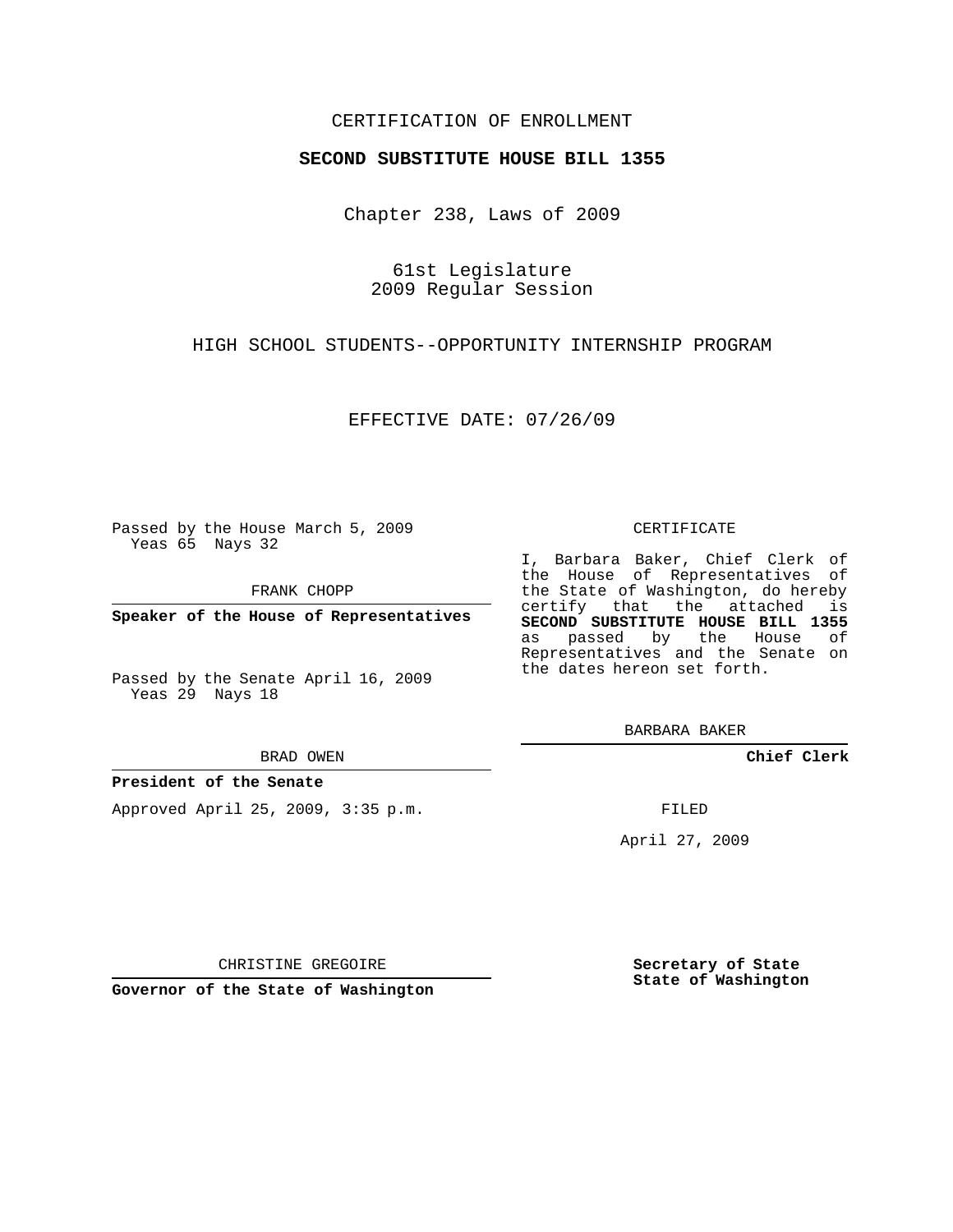## CERTIFICATION OF ENROLLMENT

### **SECOND SUBSTITUTE HOUSE BILL 1355**

Chapter 238, Laws of 2009

61st Legislature 2009 Regular Session

HIGH SCHOOL STUDENTS--OPPORTUNITY INTERNSHIP PROGRAM

EFFECTIVE DATE: 07/26/09

Passed by the House March 5, 2009 Yeas 65 Nays 32

FRANK CHOPP

**Speaker of the House of Representatives**

Passed by the Senate April 16, 2009 Yeas 29 Nays 18

#### BRAD OWEN

### **President of the Senate**

Approved April 25, 2009, 3:35 p.m.

#### CERTIFICATE

I, Barbara Baker, Chief Clerk of the House of Representatives of the State of Washington, do hereby certify that the attached is **SECOND SUBSTITUTE HOUSE BILL 1355** as passed by the House of Representatives and the Senate on the dates hereon set forth.

BARBARA BAKER

**Chief Clerk**

FILED

April 27, 2009

**Secretary of State State of Washington**

CHRISTINE GREGOIRE

**Governor of the State of Washington**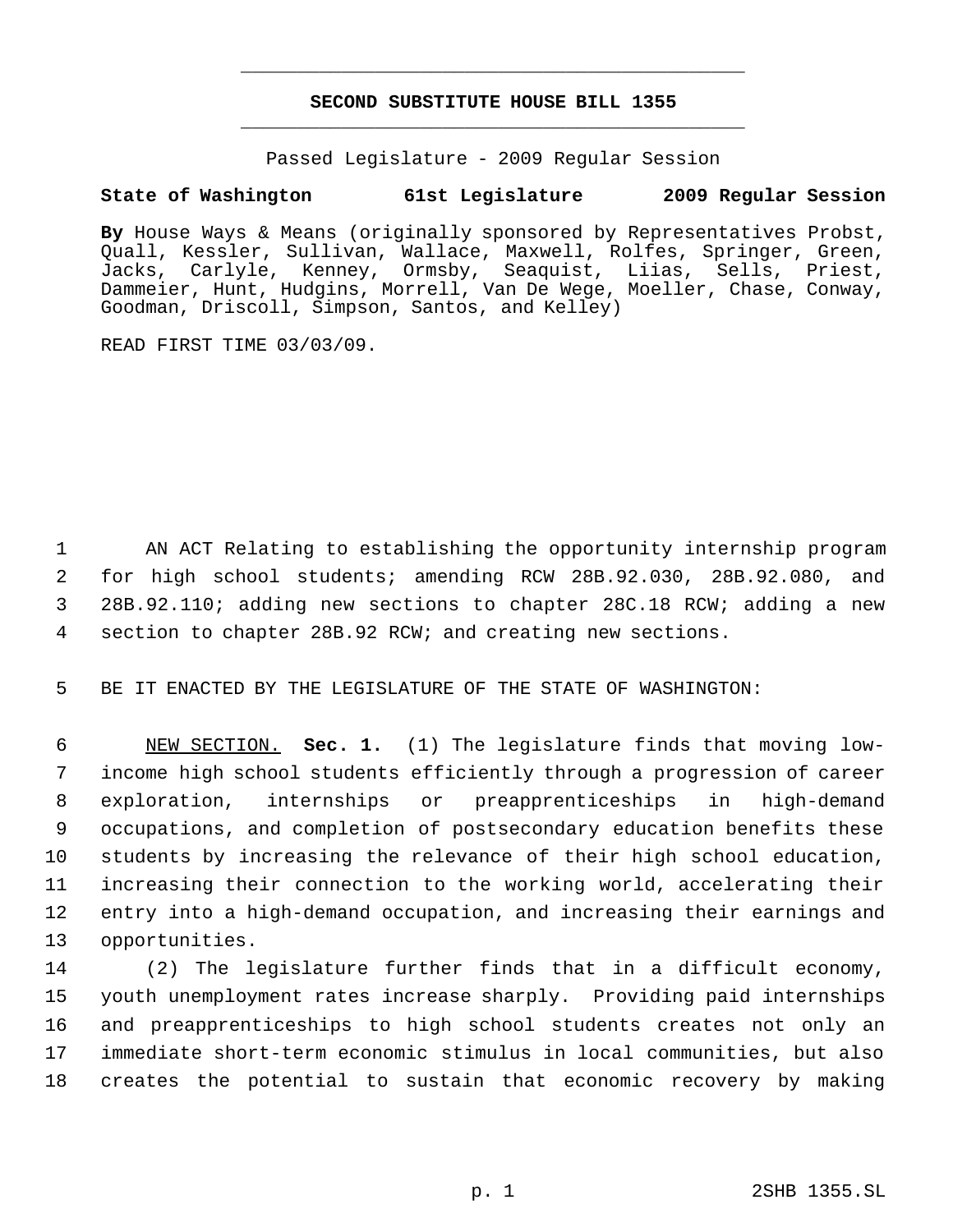# **SECOND SUBSTITUTE HOUSE BILL 1355** \_\_\_\_\_\_\_\_\_\_\_\_\_\_\_\_\_\_\_\_\_\_\_\_\_\_\_\_\_\_\_\_\_\_\_\_\_\_\_\_\_\_\_\_\_

\_\_\_\_\_\_\_\_\_\_\_\_\_\_\_\_\_\_\_\_\_\_\_\_\_\_\_\_\_\_\_\_\_\_\_\_\_\_\_\_\_\_\_\_\_

Passed Legislature - 2009 Regular Session

# **State of Washington 61st Legislature 2009 Regular Session**

By House Ways & Means (originally sponsored by Representatives Probst, Quall, Kessler, Sullivan, Wallace, Maxwell, Rolfes, Springer, Green, Jacks, Carlyle, Kenney, Ormsby, Seaquist, Liias, Sells, Priest, Dammeier, Hunt, Hudgins, Morrell, Van De Wege, Moeller, Chase, Conway, Goodman, Driscoll, Simpson, Santos, and Kelley)

READ FIRST TIME 03/03/09.

 AN ACT Relating to establishing the opportunity internship program for high school students; amending RCW 28B.92.030, 28B.92.080, and 28B.92.110; adding new sections to chapter 28C.18 RCW; adding a new section to chapter 28B.92 RCW; and creating new sections.

5 BE IT ENACTED BY THE LEGISLATURE OF THE STATE OF WASHINGTON:

 NEW SECTION. **Sec. 1.** (1) The legislature finds that moving low- income high school students efficiently through a progression of career exploration, internships or preapprenticeships in high-demand occupations, and completion of postsecondary education benefits these students by increasing the relevance of their high school education, increasing their connection to the working world, accelerating their entry into a high-demand occupation, and increasing their earnings and opportunities.

 (2) The legislature further finds that in a difficult economy, youth unemployment rates increase sharply. Providing paid internships and preapprenticeships to high school students creates not only an immediate short-term economic stimulus in local communities, but also creates the potential to sustain that economic recovery by making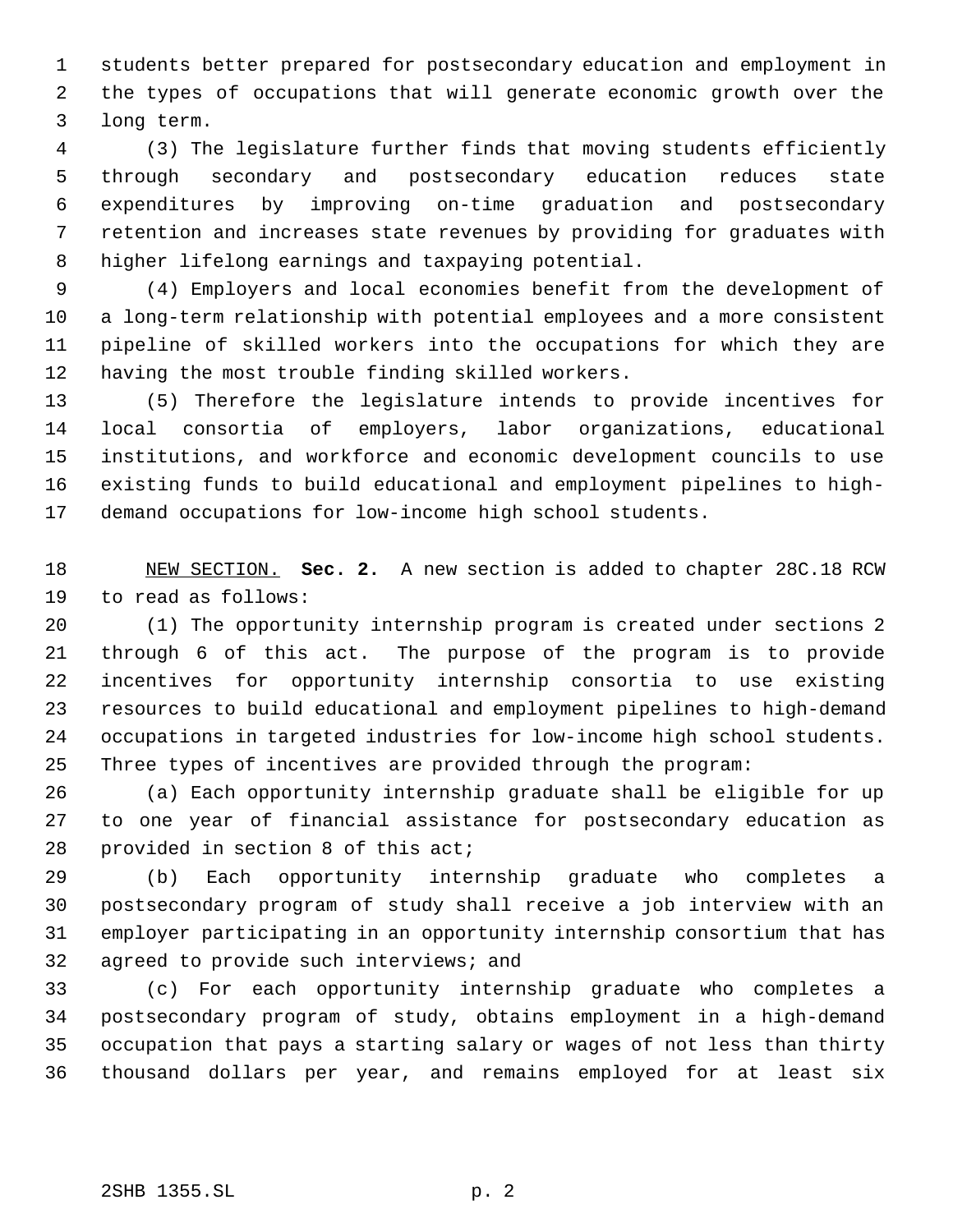students better prepared for postsecondary education and employment in the types of occupations that will generate economic growth over the long term.

 (3) The legislature further finds that moving students efficiently through secondary and postsecondary education reduces state expenditures by improving on-time graduation and postsecondary retention and increases state revenues by providing for graduates with higher lifelong earnings and taxpaying potential.

 (4) Employers and local economies benefit from the development of a long-term relationship with potential employees and a more consistent pipeline of skilled workers into the occupations for which they are having the most trouble finding skilled workers.

 (5) Therefore the legislature intends to provide incentives for local consortia of employers, labor organizations, educational institutions, and workforce and economic development councils to use existing funds to build educational and employment pipelines to high-demand occupations for low-income high school students.

 NEW SECTION. **Sec. 2.** A new section is added to chapter 28C.18 RCW to read as follows:

 (1) The opportunity internship program is created under sections 2 through 6 of this act. The purpose of the program is to provide incentives for opportunity internship consortia to use existing resources to build educational and employment pipelines to high-demand occupations in targeted industries for low-income high school students. Three types of incentives are provided through the program:

 (a) Each opportunity internship graduate shall be eligible for up to one year of financial assistance for postsecondary education as provided in section 8 of this act;

 (b) Each opportunity internship graduate who completes a postsecondary program of study shall receive a job interview with an employer participating in an opportunity internship consortium that has agreed to provide such interviews; and

 (c) For each opportunity internship graduate who completes a postsecondary program of study, obtains employment in a high-demand occupation that pays a starting salary or wages of not less than thirty thousand dollars per year, and remains employed for at least six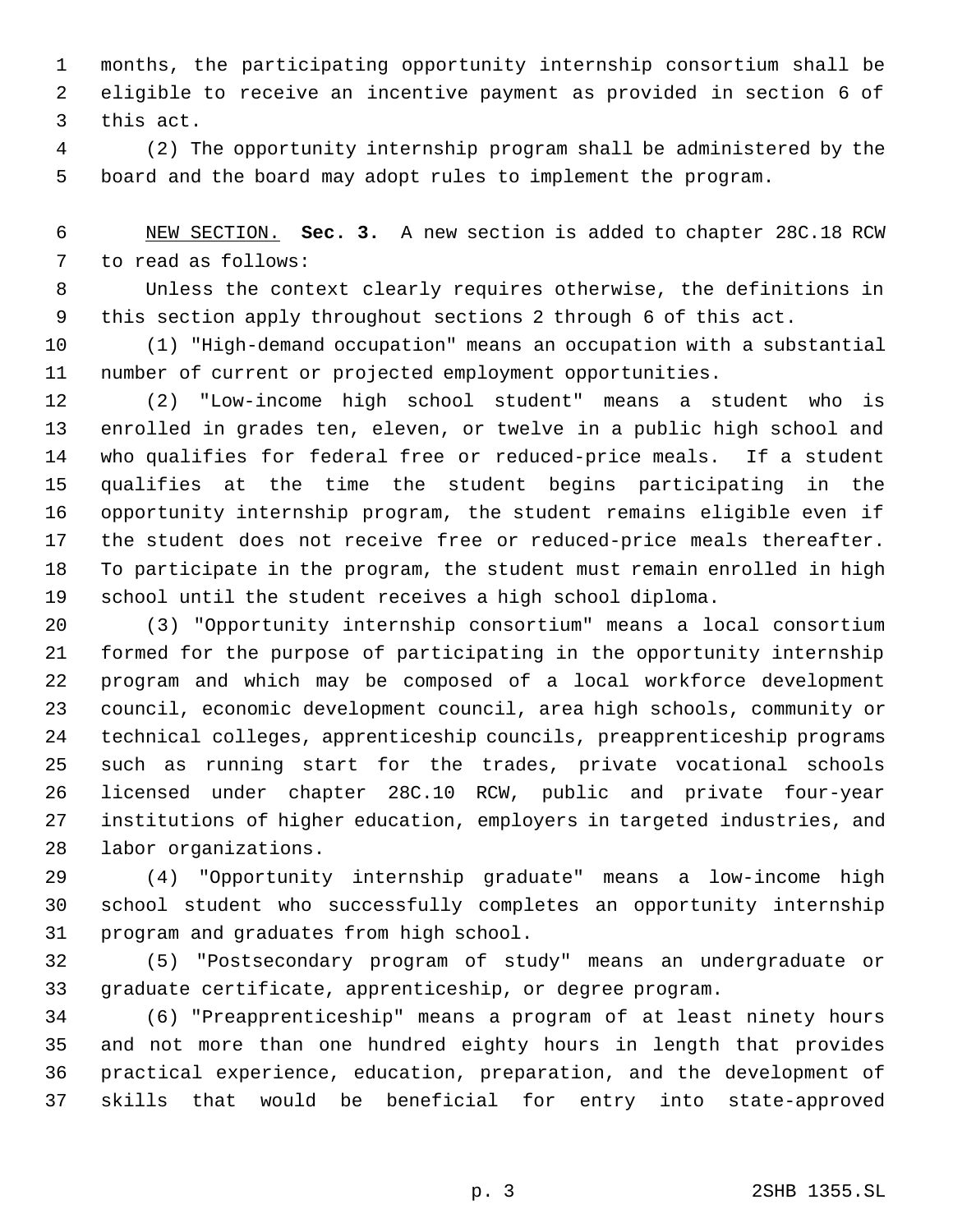months, the participating opportunity internship consortium shall be eligible to receive an incentive payment as provided in section 6 of this act.

 (2) The opportunity internship program shall be administered by the board and the board may adopt rules to implement the program.

 NEW SECTION. **Sec. 3.** A new section is added to chapter 28C.18 RCW to read as follows:

 Unless the context clearly requires otherwise, the definitions in this section apply throughout sections 2 through 6 of this act.

 (1) "High-demand occupation" means an occupation with a substantial number of current or projected employment opportunities.

 (2) "Low-income high school student" means a student who is enrolled in grades ten, eleven, or twelve in a public high school and who qualifies for federal free or reduced-price meals. If a student qualifies at the time the student begins participating in the opportunity internship program, the student remains eligible even if the student does not receive free or reduced-price meals thereafter. To participate in the program, the student must remain enrolled in high school until the student receives a high school diploma.

 (3) "Opportunity internship consortium" means a local consortium formed for the purpose of participating in the opportunity internship program and which may be composed of a local workforce development council, economic development council, area high schools, community or technical colleges, apprenticeship councils, preapprenticeship programs such as running start for the trades, private vocational schools licensed under chapter 28C.10 RCW, public and private four-year institutions of higher education, employers in targeted industries, and labor organizations.

 (4) "Opportunity internship graduate" means a low-income high school student who successfully completes an opportunity internship program and graduates from high school.

 (5) "Postsecondary program of study" means an undergraduate or graduate certificate, apprenticeship, or degree program.

 (6) "Preapprenticeship" means a program of at least ninety hours and not more than one hundred eighty hours in length that provides practical experience, education, preparation, and the development of skills that would be beneficial for entry into state-approved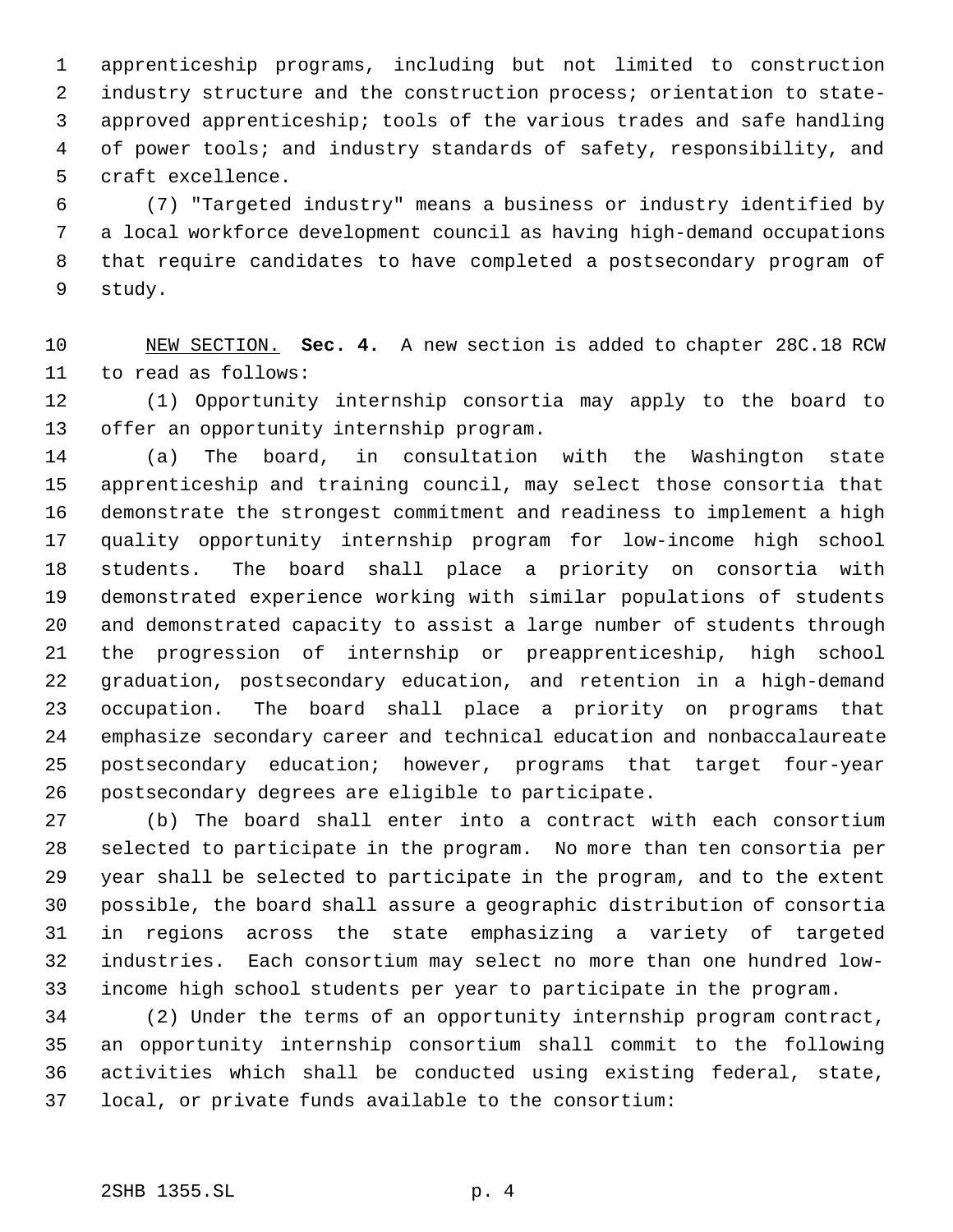apprenticeship programs, including but not limited to construction industry structure and the construction process; orientation to state- approved apprenticeship; tools of the various trades and safe handling of power tools; and industry standards of safety, responsibility, and craft excellence.

 (7) "Targeted industry" means a business or industry identified by a local workforce development council as having high-demand occupations that require candidates to have completed a postsecondary program of study.

 NEW SECTION. **Sec. 4.** A new section is added to chapter 28C.18 RCW to read as follows:

 (1) Opportunity internship consortia may apply to the board to offer an opportunity internship program.

 (a) The board, in consultation with the Washington state apprenticeship and training council, may select those consortia that demonstrate the strongest commitment and readiness to implement a high quality opportunity internship program for low-income high school students. The board shall place a priority on consortia with demonstrated experience working with similar populations of students and demonstrated capacity to assist a large number of students through the progression of internship or preapprenticeship, high school graduation, postsecondary education, and retention in a high-demand occupation. The board shall place a priority on programs that emphasize secondary career and technical education and nonbaccalaureate postsecondary education; however, programs that target four-year postsecondary degrees are eligible to participate.

 (b) The board shall enter into a contract with each consortium selected to participate in the program. No more than ten consortia per year shall be selected to participate in the program, and to the extent possible, the board shall assure a geographic distribution of consortia in regions across the state emphasizing a variety of targeted industries. Each consortium may select no more than one hundred low-income high school students per year to participate in the program.

 (2) Under the terms of an opportunity internship program contract, an opportunity internship consortium shall commit to the following activities which shall be conducted using existing federal, state, local, or private funds available to the consortium: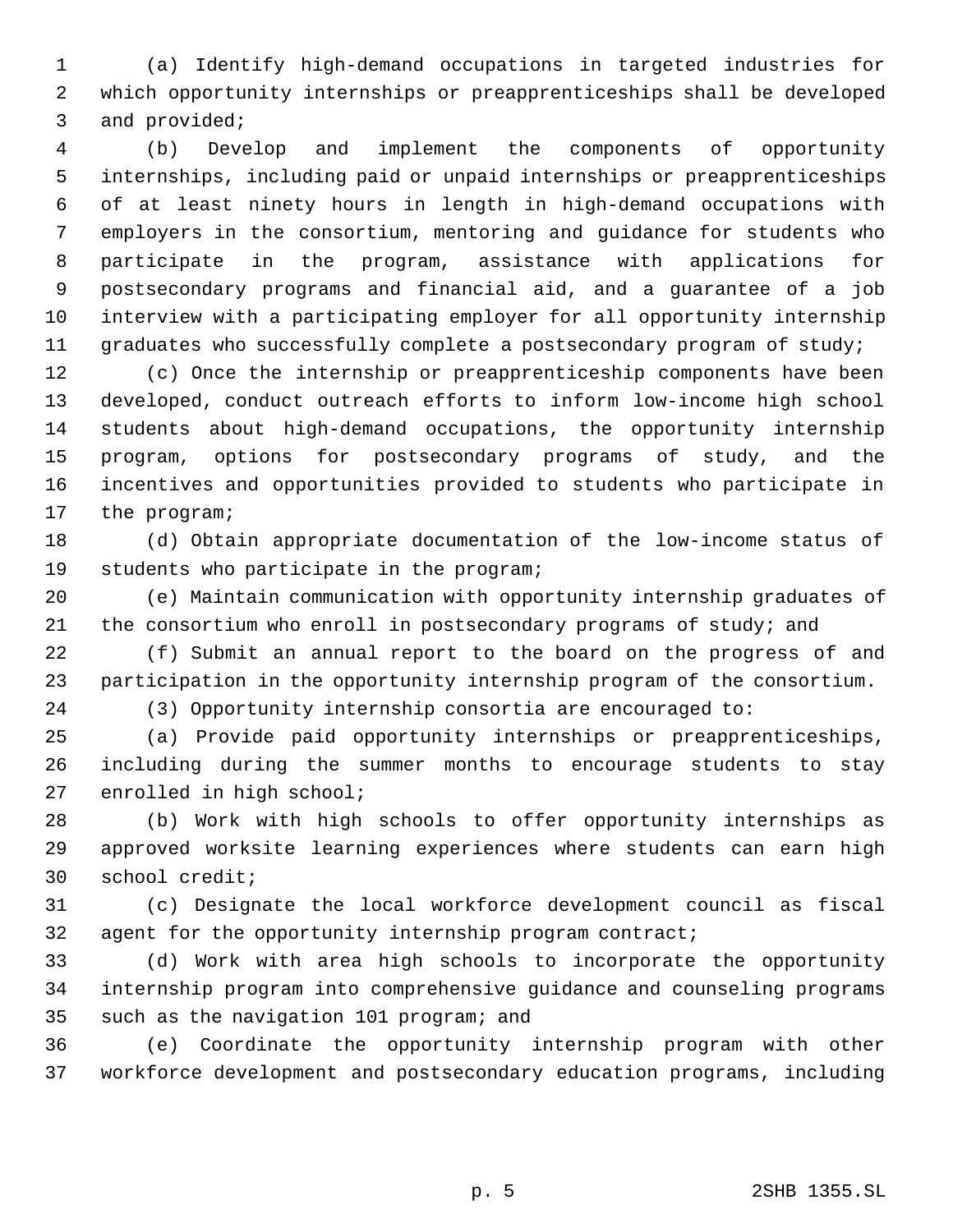(a) Identify high-demand occupations in targeted industries for which opportunity internships or preapprenticeships shall be developed and provided;

 (b) Develop and implement the components of opportunity internships, including paid or unpaid internships or preapprenticeships of at least ninety hours in length in high-demand occupations with employers in the consortium, mentoring and guidance for students who participate in the program, assistance with applications for postsecondary programs and financial aid, and a guarantee of a job interview with a participating employer for all opportunity internship graduates who successfully complete a postsecondary program of study;

 (c) Once the internship or preapprenticeship components have been developed, conduct outreach efforts to inform low-income high school students about high-demand occupations, the opportunity internship program, options for postsecondary programs of study, and the incentives and opportunities provided to students who participate in the program;

 (d) Obtain appropriate documentation of the low-income status of students who participate in the program;

 (e) Maintain communication with opportunity internship graduates of 21 the consortium who enroll in postsecondary programs of study; and

 (f) Submit an annual report to the board on the progress of and participation in the opportunity internship program of the consortium.

(3) Opportunity internship consortia are encouraged to:

 (a) Provide paid opportunity internships or preapprenticeships, including during the summer months to encourage students to stay enrolled in high school;

 (b) Work with high schools to offer opportunity internships as approved worksite learning experiences where students can earn high school credit;

 (c) Designate the local workforce development council as fiscal agent for the opportunity internship program contract;

 (d) Work with area high schools to incorporate the opportunity internship program into comprehensive guidance and counseling programs such as the navigation 101 program; and

 (e) Coordinate the opportunity internship program with other workforce development and postsecondary education programs, including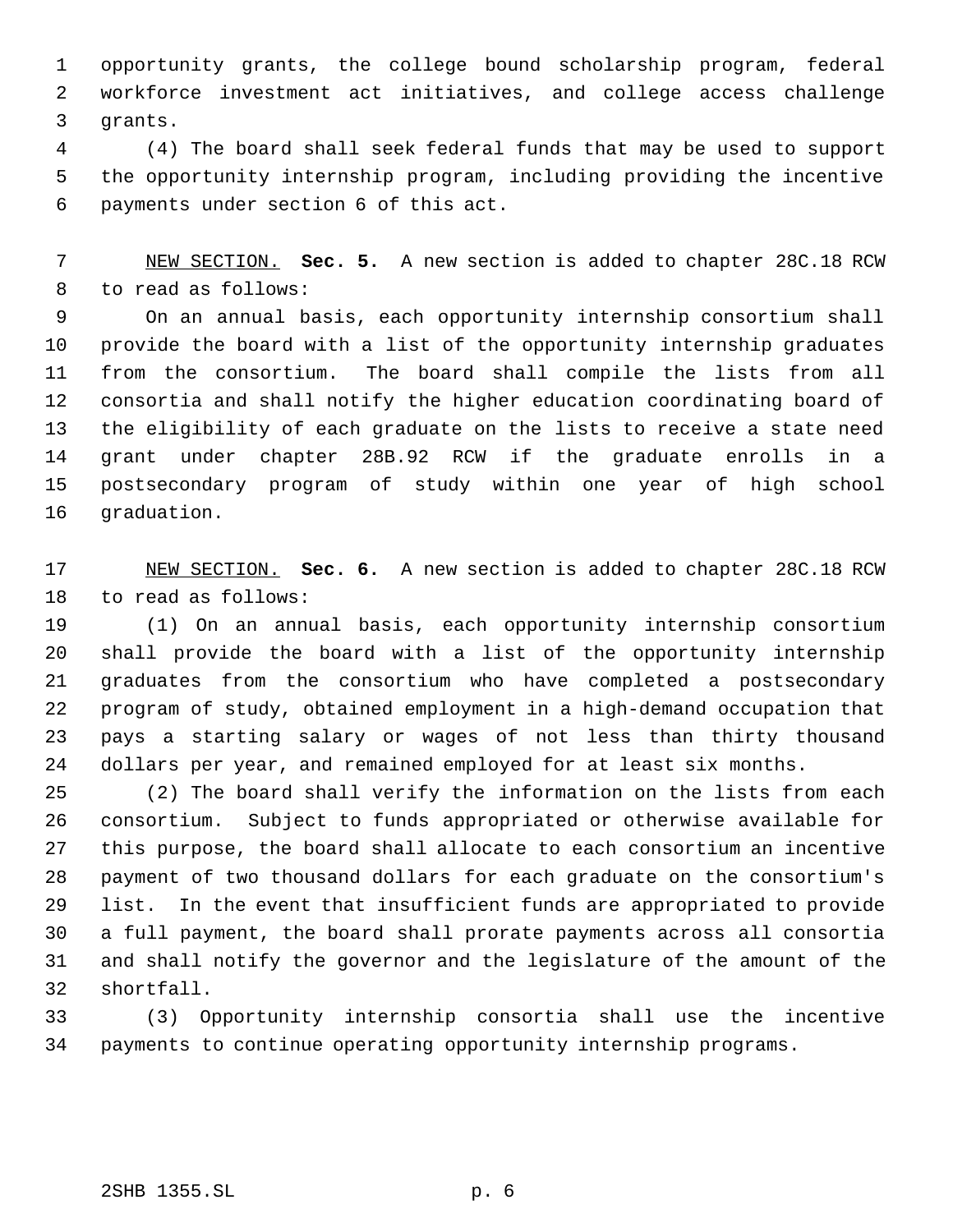opportunity grants, the college bound scholarship program, federal workforce investment act initiatives, and college access challenge grants.

 (4) The board shall seek federal funds that may be used to support the opportunity internship program, including providing the incentive payments under section 6 of this act.

 NEW SECTION. **Sec. 5.** A new section is added to chapter 28C.18 RCW to read as follows:

 On an annual basis, each opportunity internship consortium shall provide the board with a list of the opportunity internship graduates from the consortium. The board shall compile the lists from all consortia and shall notify the higher education coordinating board of the eligibility of each graduate on the lists to receive a state need grant under chapter 28B.92 RCW if the graduate enrolls in a postsecondary program of study within one year of high school graduation.

 NEW SECTION. **Sec. 6.** A new section is added to chapter 28C.18 RCW to read as follows:

 (1) On an annual basis, each opportunity internship consortium shall provide the board with a list of the opportunity internship graduates from the consortium who have completed a postsecondary program of study, obtained employment in a high-demand occupation that pays a starting salary or wages of not less than thirty thousand dollars per year, and remained employed for at least six months.

 (2) The board shall verify the information on the lists from each consortium. Subject to funds appropriated or otherwise available for this purpose, the board shall allocate to each consortium an incentive payment of two thousand dollars for each graduate on the consortium's list. In the event that insufficient funds are appropriated to provide a full payment, the board shall prorate payments across all consortia and shall notify the governor and the legislature of the amount of the shortfall.

 (3) Opportunity internship consortia shall use the incentive payments to continue operating opportunity internship programs.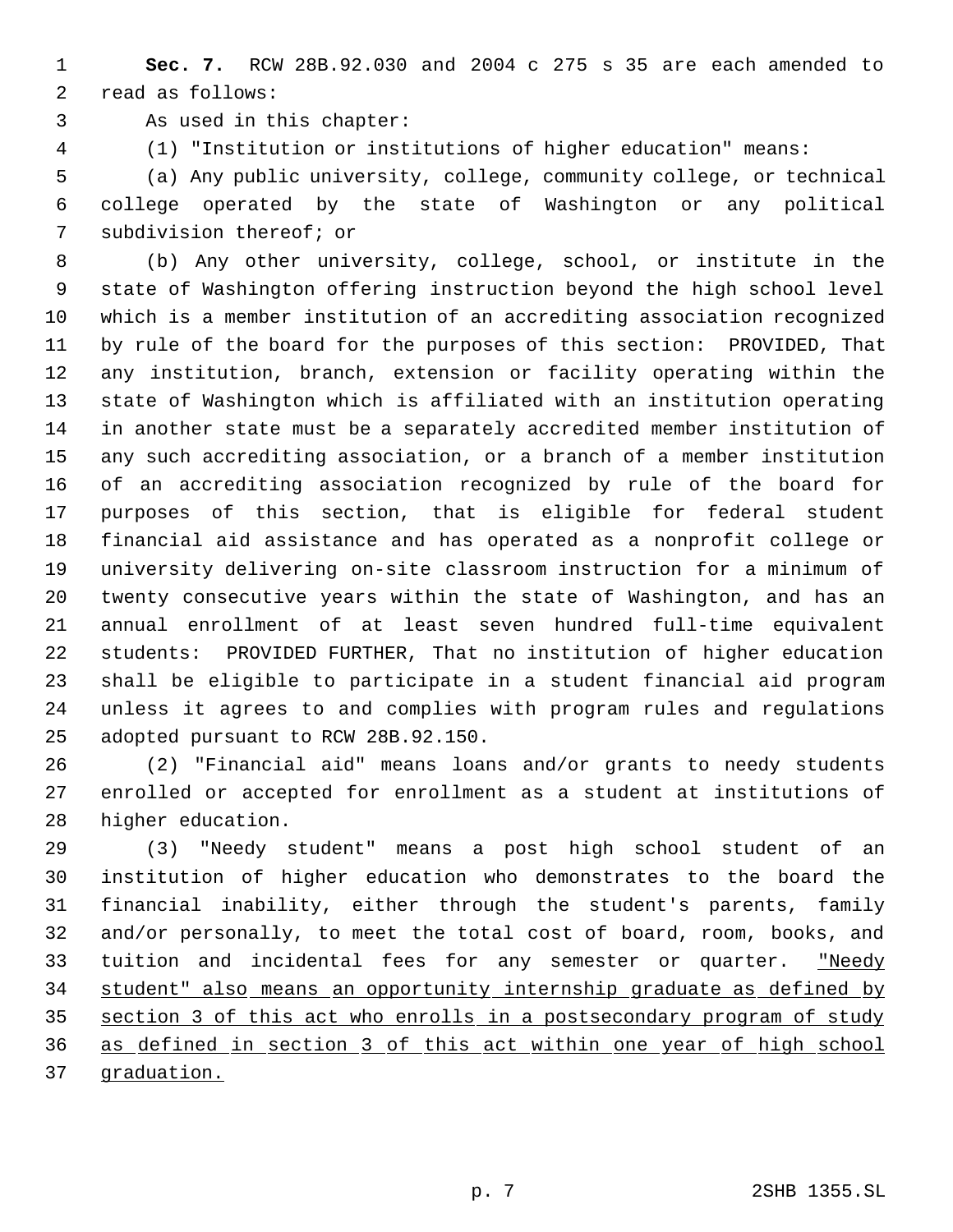**Sec. 7.** RCW 28B.92.030 and 2004 c 275 s 35 are each amended to read as follows:

As used in this chapter:

(1) "Institution or institutions of higher education" means:

 (a) Any public university, college, community college, or technical college operated by the state of Washington or any political subdivision thereof; or

 (b) Any other university, college, school, or institute in the state of Washington offering instruction beyond the high school level which is a member institution of an accrediting association recognized by rule of the board for the purposes of this section: PROVIDED, That any institution, branch, extension or facility operating within the state of Washington which is affiliated with an institution operating in another state must be a separately accredited member institution of any such accrediting association, or a branch of a member institution of an accrediting association recognized by rule of the board for purposes of this section, that is eligible for federal student financial aid assistance and has operated as a nonprofit college or university delivering on-site classroom instruction for a minimum of twenty consecutive years within the state of Washington, and has an annual enrollment of at least seven hundred full-time equivalent students: PROVIDED FURTHER, That no institution of higher education shall be eligible to participate in a student financial aid program unless it agrees to and complies with program rules and regulations adopted pursuant to RCW 28B.92.150.

 (2) "Financial aid" means loans and/or grants to needy students enrolled or accepted for enrollment as a student at institutions of higher education.

 (3) "Needy student" means a post high school student of an institution of higher education who demonstrates to the board the financial inability, either through the student's parents, family and/or personally, to meet the total cost of board, room, books, and 33 tuition and incidental fees for any semester or quarter. "Needy student" also means an opportunity internship graduate as defined by section 3 of this act who enrolls in a postsecondary program of study as defined in section 3 of this act within one year of high school graduation.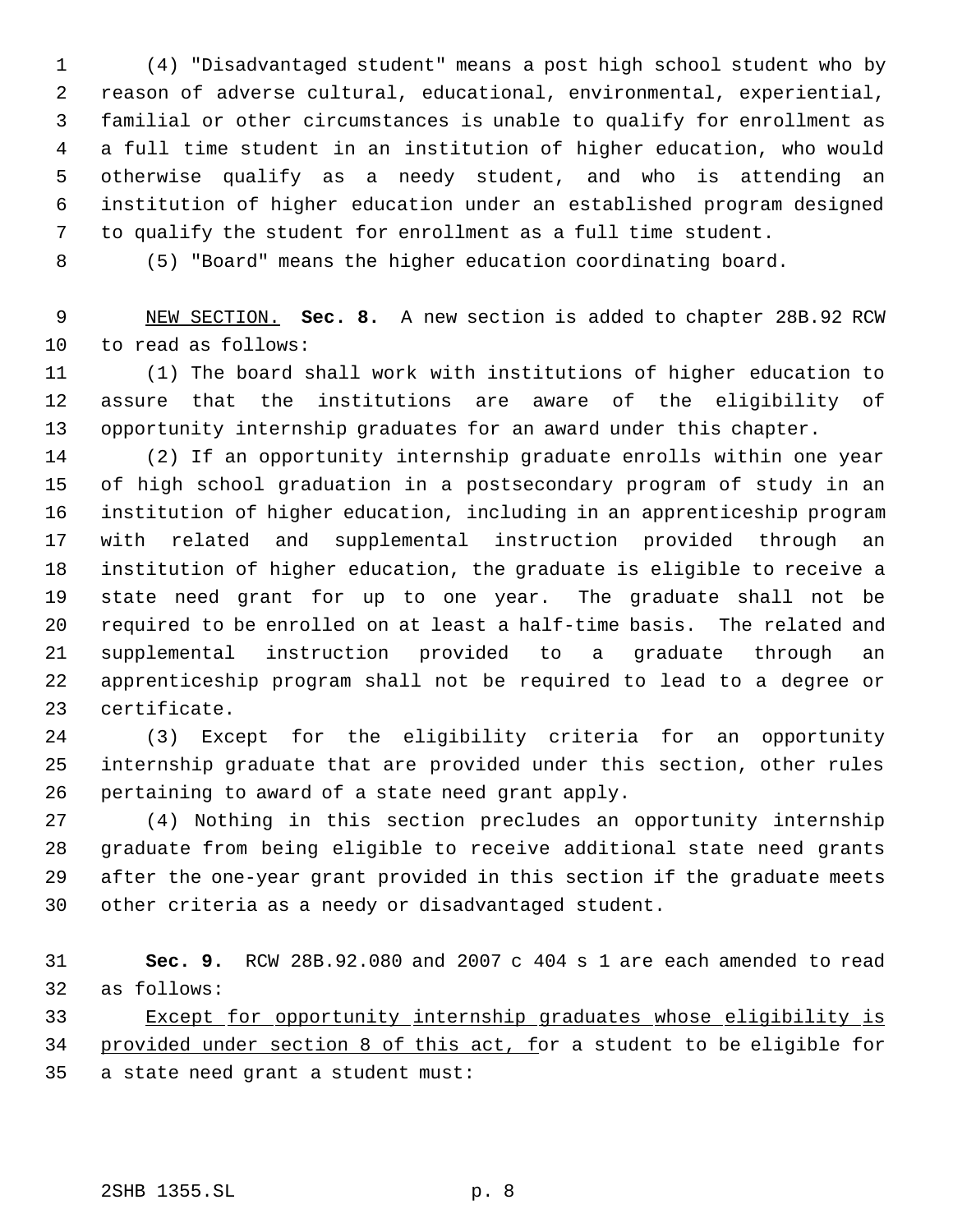(4) "Disadvantaged student" means a post high school student who by reason of adverse cultural, educational, environmental, experiential, familial or other circumstances is unable to qualify for enrollment as a full time student in an institution of higher education, who would otherwise qualify as a needy student, and who is attending an institution of higher education under an established program designed to qualify the student for enrollment as a full time student.

(5) "Board" means the higher education coordinating board.

 NEW SECTION. **Sec. 8.** A new section is added to chapter 28B.92 RCW to read as follows:

 (1) The board shall work with institutions of higher education to assure that the institutions are aware of the eligibility of opportunity internship graduates for an award under this chapter.

 (2) If an opportunity internship graduate enrolls within one year of high school graduation in a postsecondary program of study in an institution of higher education, including in an apprenticeship program with related and supplemental instruction provided through an institution of higher education, the graduate is eligible to receive a state need grant for up to one year. The graduate shall not be required to be enrolled on at least a half-time basis. The related and supplemental instruction provided to a graduate through an apprenticeship program shall not be required to lead to a degree or certificate.

 (3) Except for the eligibility criteria for an opportunity internship graduate that are provided under this section, other rules pertaining to award of a state need grant apply.

 (4) Nothing in this section precludes an opportunity internship graduate from being eligible to receive additional state need grants after the one-year grant provided in this section if the graduate meets other criteria as a needy or disadvantaged student.

 **Sec. 9.** RCW 28B.92.080 and 2007 c 404 s 1 are each amended to read as follows:

 Except for opportunity internship graduates whose eligibility is provided under section 8 of this act, for a student to be eligible for a state need grant a student must: